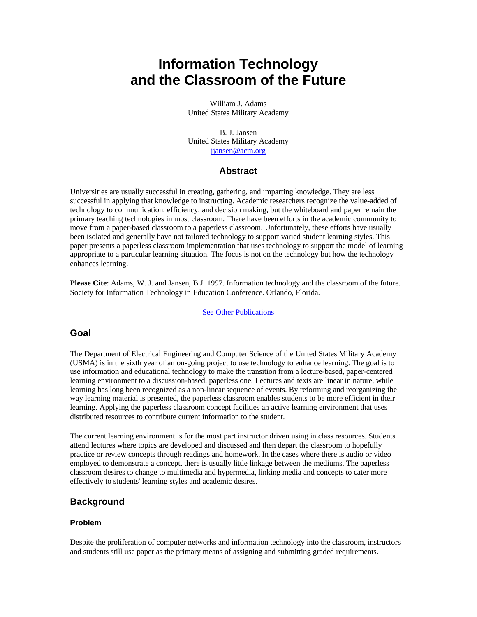# **Information Technology and the Classroom of the Future**

William J. Adams United States Military Academy

B. J. Jansen United States Military Academy jjansen@acm.org

### **Abstract**

Universities are usually successful in creating, gathering, and imparting knowledge. They are less successful in applying that knowledge to instructing. Academic researchers recognize the value-added of technology to communication, efficiency, and decision making, but the whiteboard and paper remain the primary teaching technologies in most classroom. There have been efforts in the academic community to move from a paper-based classroom to a paperless classroom. Unfortunately, these efforts have usually been isolated and generally have not tailored technology to support varied student learning styles. This paper presents a paperless classroom implementation that uses technology to support the model of learning appropriate to a particular learning situation. The focus is not on the technology but how the technology enhances learning.

**Please Cite**: Adams, W. J. and Jansen, B.J. 1997. Information technology and the classroom of the future. Society for Information Technology in Education Conference. Orlando, Florida.

#### See Other Publications

### **Goal**

The Department of Electrical Engineering and Computer Science of the United States Military Academy (USMA) is in the sixth year of an on-going project to use technology to enhance learning. The goal is to use information and educational technology to make the transition from a lecture-based, paper-centered learning environment to a discussion-based, paperless one. Lectures and texts are linear in nature, while learning has long been recognized as a non-linear sequence of events. By reforming and reorganizing the way learning material is presented, the paperless classroom enables students to be more efficient in their learning. Applying the paperless classroom concept facilities an active learning environment that uses distributed resources to contribute current information to the student.

The current learning environment is for the most part instructor driven using in class resources. Students attend lectures where topics are developed and discussed and then depart the classroom to hopefully practice or review concepts through readings and homework. In the cases where there is audio or video employed to demonstrate a concept, there is usually little linkage between the mediums. The paperless classroom desires to change to multimedia and hypermedia, linking media and concepts to cater more effectively to students' learning styles and academic desires.

### **Background**

#### **Problem**

Despite the proliferation of computer networks and information technology into the classroom, instructors and students still use paper as the primary means of assigning and submitting graded requirements.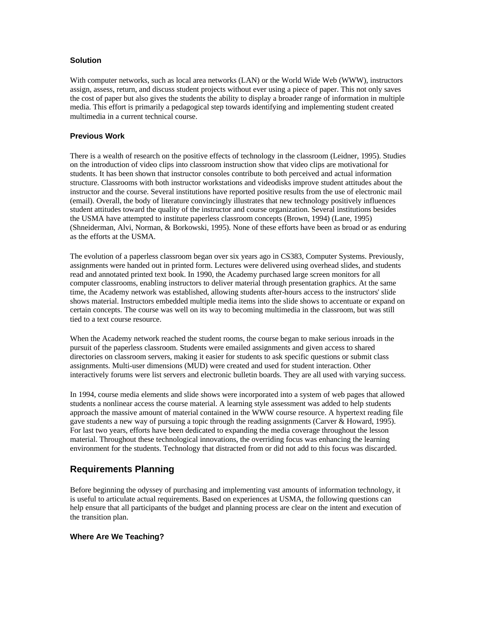### **Solution**

With computer networks, such as local area networks (LAN) or the World Wide Web (WWW), instructors assign, assess, return, and discuss student projects without ever using a piece of paper. This not only saves the cost of paper but also gives the students the ability to display a broader range of information in multiple media. This effort is primarily a pedagogical step towards identifying and implementing student created multimedia in a current technical course.

### **Previous Work**

There is a wealth of research on the positive effects of technology in the classroom (Leidner, 1995). Studies on the introduction of video clips into classroom instruction show that video clips are motivational for students. It has been shown that instructor consoles contribute to both perceived and actual information structure. Classrooms with both instructor workstations and videodisks improve student attitudes about the instructor and the course. Several institutions have reported positive results from the use of electronic mail (email). Overall, the body of literature convincingly illustrates that new technology positively influences student attitudes toward the quality of the instructor and course organization. Several institutions besides the USMA have attempted to institute paperless classroom concepts (Brown, 1994) (Lane, 1995) (Shneiderman, Alvi, Norman, & Borkowski, 1995). None of these efforts have been as broad or as enduring as the efforts at the USMA.

The evolution of a paperless classroom began over six years ago in CS383, Computer Systems. Previously, assignments were handed out in printed form. Lectures were delivered using overhead slides, and students read and annotated printed text book. In 1990, the Academy purchased large screen monitors for all computer classrooms, enabling instructors to deliver material through presentation graphics. At the same time, the Academy network was established, allowing students after-hours access to the instructors' slide shows material. Instructors embedded multiple media items into the slide shows to accentuate or expand on certain concepts. The course was well on its way to becoming multimedia in the classroom, but was still tied to a text course resource.

When the Academy network reached the student rooms, the course began to make serious inroads in the pursuit of the paperless classroom. Students were emailed assignments and given access to shared directories on classroom servers, making it easier for students to ask specific questions or submit class assignments. Multi-user dimensions (MUD) were created and used for student interaction. Other interactively forums were list servers and electronic bulletin boards. They are all used with varying success.

In 1994, course media elements and slide shows were incorporated into a system of web pages that allowed students a nonlinear access the course material. A learning style assessment was added to help students approach the massive amount of material contained in the WWW course resource. A hypertext reading file gave students a new way of pursuing a topic through the reading assignments (Carver & Howard, 1995). For last two years, efforts have been dedicated to expanding the media coverage throughout the lesson material. Throughout these technological innovations, the overriding focus was enhancing the learning environment for the students. Technology that distracted from or did not add to this focus was discarded.

# **Requirements Planning**

Before beginning the odyssey of purchasing and implementing vast amounts of information technology, it is useful to articulate actual requirements. Based on experiences at USMA, the following questions can help ensure that all participants of the budget and planning process are clear on the intent and execution of the transition plan.

### **Where Are We Teaching?**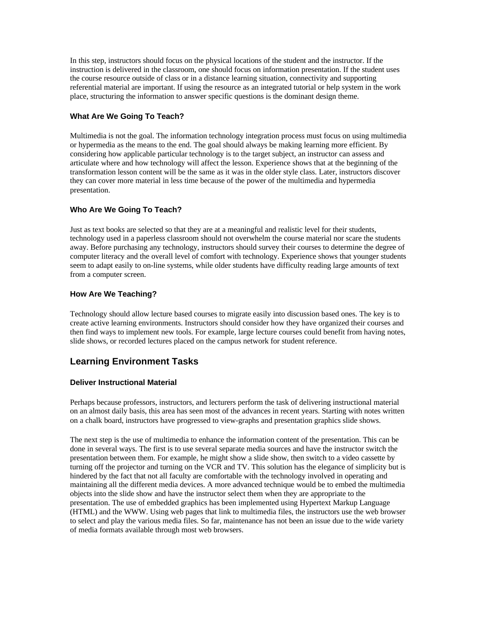In this step, instructors should focus on the physical locations of the student and the instructor. If the instruction is delivered in the classroom, one should focus on information presentation. If the student uses the course resource outside of class or in a distance learning situation, connectivity and supporting referential material are important. If using the resource as an integrated tutorial or help system in the work place, structuring the information to answer specific questions is the dominant design theme.

### **What Are We Going To Teach?**

Multimedia is not the goal. The information technology integration process must focus on using multimedia or hypermedia as the means to the end. The goal should always be making learning more efficient. By considering how applicable particular technology is to the target subject, an instructor can assess and articulate where and how technology will affect the lesson. Experience shows that at the beginning of the transformation lesson content will be the same as it was in the older style class. Later, instructors discover they can cover more material in less time because of the power of the multimedia and hypermedia presentation.

### **Who Are We Going To Teach?**

Just as text books are selected so that they are at a meaningful and realistic level for their students, technology used in a paperless classroom should not overwhelm the course material nor scare the students away. Before purchasing any technology, instructors should survey their courses to determine the degree of computer literacy and the overall level of comfort with technology. Experience shows that younger students seem to adapt easily to on-line systems, while older students have difficulty reading large amounts of text from a computer screen.

### **How Are We Teaching?**

Technology should allow lecture based courses to migrate easily into discussion based ones. The key is to create active learning environments. Instructors should consider how they have organized their courses and then find ways to implement new tools. For example, large lecture courses could benefit from having notes, slide shows, or recorded lectures placed on the campus network for student reference.

# **Learning Environment Tasks**

#### **Deliver Instructional Material**

Perhaps because professors, instructors, and lecturers perform the task of delivering instructional material on an almost daily basis, this area has seen most of the advances in recent years. Starting with notes written on a chalk board, instructors have progressed to view-graphs and presentation graphics slide shows.

The next step is the use of multimedia to enhance the information content of the presentation. This can be done in several ways. The first is to use several separate media sources and have the instructor switch the presentation between them. For example, he might show a slide show, then switch to a video cassette by turning off the projector and turning on the VCR and TV. This solution has the elegance of simplicity but is hindered by the fact that not all faculty are comfortable with the technology involved in operating and maintaining all the different media devices. A more advanced technique would be to embed the multimedia objects into the slide show and have the instructor select them when they are appropriate to the presentation. The use of embedded graphics has been implemented using Hypertext Markup Language (HTML) and the WWW. Using web pages that link to multimedia files, the instructors use the web browser to select and play the various media files. So far, maintenance has not been an issue due to the wide variety of media formats available through most web browsers.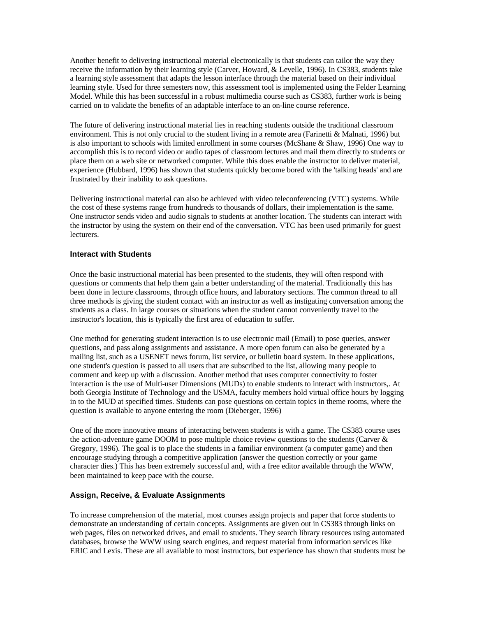Another benefit to delivering instructional material electronically is that students can tailor the way they receive the information by their learning style (Carver, Howard, & Levelle, 1996). In CS383, students take a learning style assessment that adapts the lesson interface through the material based on their individual learning style. Used for three semesters now, this assessment tool is implemented using the Felder Learning Model. While this has been successful in a robust multimedia course such as CS383, further work is being carried on to validate the benefits of an adaptable interface to an on-line course reference.

The future of delivering instructional material lies in reaching students outside the traditional classroom environment. This is not only crucial to the student living in a remote area (Farinetti & Malnati, 1996) but is also important to schools with limited enrollment in some courses (McShane & Shaw, 1996) One way to accomplish this is to record video or audio tapes of classroom lectures and mail them directly to students or place them on a web site or networked computer. While this does enable the instructor to deliver material, experience (Hubbard, 1996) has shown that students quickly become bored with the 'talking heads' and are frustrated by their inability to ask questions.

Delivering instructional material can also be achieved with video teleconferencing (VTC) systems. While the cost of these systems range from hundreds to thousands of dollars, their implementation is the same. One instructor sends video and audio signals to students at another location. The students can interact with the instructor by using the system on their end of the conversation. VTC has been used primarily for guest lecturers.

#### **Interact with Students**

Once the basic instructional material has been presented to the students, they will often respond with questions or comments that help them gain a better understanding of the material. Traditionally this has been done in lecture classrooms, through office hours, and laboratory sections. The common thread to all three methods is giving the student contact with an instructor as well as instigating conversation among the students as a class. In large courses or situations when the student cannot conveniently travel to the instructor's location, this is typically the first area of education to suffer.

One method for generating student interaction is to use electronic mail (Email) to pose queries, answer questions, and pass along assignments and assistance. A more open forum can also be generated by a mailing list, such as a USENET news forum, list service, or bulletin board system. In these applications, one student's question is passed to all users that are subscribed to the list, allowing many people to comment and keep up with a discussion. Another method that uses computer connectivity to foster interaction is the use of Multi-user Dimensions (MUDs) to enable students to interact with instructors,. At both Georgia Institute of Technology and the USMA, faculty members hold virtual office hours by logging in to the MUD at specified times. Students can pose questions on certain topics in theme rooms, where the question is available to anyone entering the room (Dieberger, 1996)

One of the more innovative means of interacting between students is with a game. The CS383 course uses the action-adventure game DOOM to pose multiple choice review questions to the students (Carver  $\&$ Gregory, 1996). The goal is to place the students in a familiar environment (a computer game) and then encourage studying through a competitive application (answer the question correctly or your game character dies.) This has been extremely successful and, with a free editor available through the WWW, been maintained to keep pace with the course.

#### **Assign, Receive, & Evaluate Assignments**

To increase comprehension of the material, most courses assign projects and paper that force students to demonstrate an understanding of certain concepts. Assignments are given out in CS383 through links on web pages, files on networked drives, and email to students. They search library resources using automated databases, browse the WWW using search engines, and request material from information services like ERIC and Lexis. These are all available to most instructors, but experience has shown that students must be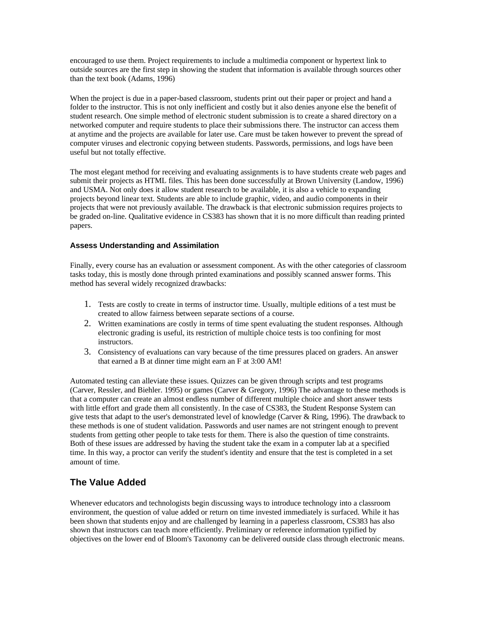encouraged to use them. Project requirements to include a multimedia component or hypertext link to outside sources are the first step in showing the student that information is available through sources other than the text book (Adams, 1996)

When the project is due in a paper-based classroom, students print out their paper or project and hand a folder to the instructor. This is not only inefficient and costly but it also denies anyone else the benefit of student research. One simple method of electronic student submission is to create a shared directory on a networked computer and require students to place their submissions there. The instructor can access them at anytime and the projects are available for later use. Care must be taken however to prevent the spread of computer viruses and electronic copying between students. Passwords, permissions, and logs have been useful but not totally effective.

The most elegant method for receiving and evaluating assignments is to have students create web pages and submit their projects as HTML files. This has been done successfully at Brown University (Landow, 1996) and USMA. Not only does it allow student research to be available, it is also a vehicle to expanding projects beyond linear text. Students are able to include graphic, video, and audio components in their projects that were not previously available. The drawback is that electronic submission requires projects to be graded on-line. Qualitative evidence in CS383 has shown that it is no more difficult than reading printed papers.

#### **Assess Understanding and Assimilation**

Finally, every course has an evaluation or assessment component. As with the other categories of classroom tasks today, this is mostly done through printed examinations and possibly scanned answer forms. This method has several widely recognized drawbacks:

- 1. Tests are costly to create in terms of instructor time. Usually, multiple editions of a test must be created to allow fairness between separate sections of a course.
- 2. Written examinations are costly in terms of time spent evaluating the student responses. Although electronic grading is useful, its restriction of multiple choice tests is too confining for most instructors.
- 3. Consistency of evaluations can vary because of the time pressures placed on graders. An answer that earned a B at dinner time might earn an F at 3:00 AM!

Automated testing can alleviate these issues. Quizzes can be given through scripts and test programs (Carver, Ressler, and Biehler. 1995) or games (Carver & Gregory, 1996) The advantage to these methods is that a computer can create an almost endless number of different multiple choice and short answer tests with little effort and grade them all consistently. In the case of CS383, the Student Response System can give tests that adapt to the user's demonstrated level of knowledge (Carver & Ring, 1996). The drawback to these methods is one of student validation. Passwords and user names are not stringent enough to prevent students from getting other people to take tests for them. There is also the question of time constraints. Both of these issues are addressed by having the student take the exam in a computer lab at a specified time. In this way, a proctor can verify the student's identity and ensure that the test is completed in a set amount of time.

# **The Value Added**

Whenever educators and technologists begin discussing ways to introduce technology into a classroom environment, the question of value added or return on time invested immediately is surfaced. While it has been shown that students enjoy and are challenged by learning in a paperless classroom, CS383 has also shown that instructors can teach more efficiently. Preliminary or reference information typified by objectives on the lower end of Bloom's Taxonomy can be delivered outside class through electronic means.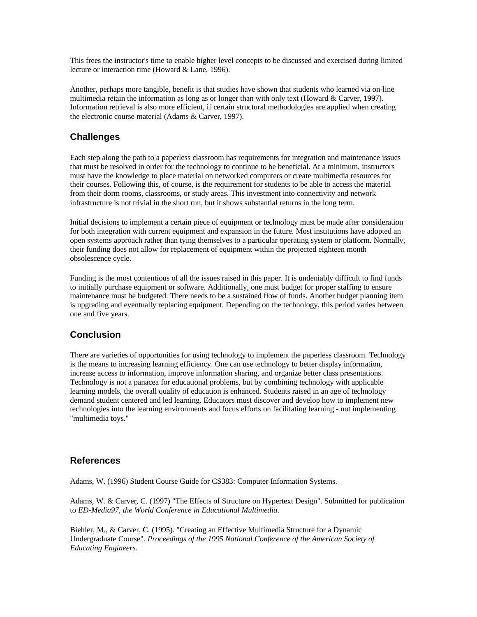This frees the instructor's time to enable higher level concepts to be discussed and exercised during limited lecture or interaction time (Howard & Lane, 1996).

Another, perhaps more tangible, benefit is that studies have shown that students who learned via on-line multimedia retain the information as long as or longer than with only text (Howard & Carver, 1997). Information retrieval is also more efficient, if certain structural methodologies are applied when creating the electronic course material (Adams & Carver, 1997).

# **Challenges**

Each step along the path to a paperless classroom has requirements for integration and maintenance issues that must be resolved in order for the technology to continue to be beneficial. At a minimum, instructors must have the knowledge to place material on networked computers or create multimedia resources for their courses. Following this, of course, is the requirement for students to be able to access the material from their dorm rooms, classrooms, or study areas. This investment into connectivity and network infrastructure is not trivial in the short run, but it shows substantial returns in the long term.

Initial decisions to implement a certain piece of equipment or technology must be made after consideration for both integration with current equipment and expansion in the future. Most institutions have adopted an open systems approach rather than tying themselves to a particular operating system or platform. Normally, their funding does not allow for replacement of equipment within the projected eighteen month obsolescence cycle.

Funding is the most contentious of all the issues raised in this paper. It is undeniably difficult to find funds to initially purchase equipment or software. Additionally, one must budget for proper staffing to ensure maintenance must be budgeted. There needs to be a sustained flow of funds. Another budget planning item is upgrading and eventually replacing equipment. Depending on the technology, this period varies between one and five years.

# **Conclusion**

There are varieties of opportunities for using technology to implement the paperless classroom. Technology is the means to increasing learning efficiency. One can use technology to better display information, increase access to information, improve information sharing, and organize better class presentations. Technology is not a panacea for educational problems, but by combining technology with applicable learning models, the overall quality of education is enhanced. Students raised in an age of technology demand student centered and led learning. Educators must discover and develop how to implement new technologies into the learning environments and focus efforts on facilitating learning - not implementing "multimedia toys."

### **References**

Adams, W. (1996) Student Course Guide for CS383: Computer Information Systems.

Adams, W. & Carver, C. (1997) "The Effects of Structure on Hypertext Design". Submitted for publication to *ED-Media97, the World Conference in Educational Multimedia*.

Biehler, M., & Carver, C. (1995). "Creating an Effective Multimedia Structure for a Dynamic Undergraduate Course"*. Proceedings of the 1995 National Conference of the American Society of Educating Engineers*.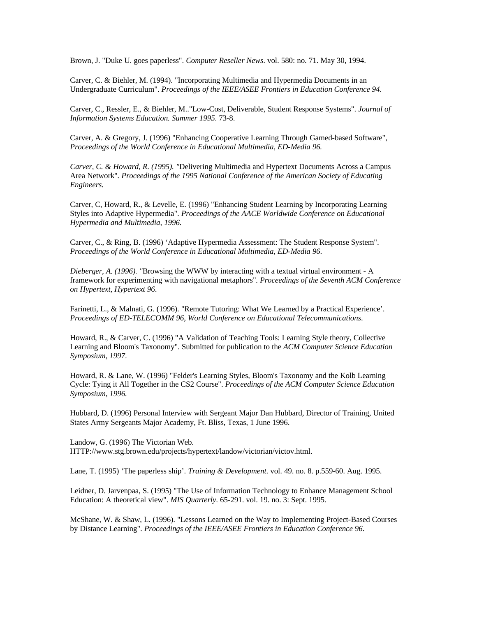Brown, J. "Duke U. goes paperless". *Computer Reseller News*. vol. 580: no. 71. May 30, 1994.

Carver, C. & Biehler, M. (1994). "Incorporating Multimedia and Hypermedia Documents in an Undergraduate Curriculum". *Proceedings of the IEEE/ASEE Frontiers in Education Conference 94*.

Carver, C., Ressler, E., & Biehler, M.."Low-Cost, Deliverable, Student Response Systems". *Journal of Information Systems Education. Summer 1995*. 73-8.

Carver, A. & Gregory, J. (1996) "Enhancing Cooperative Learning Through Gamed-based Software", *Proceedings of the World Conference in Educational Multimedia, ED-Media 96.*

*Carver, C. & Howard, R. (1995). "*Delivering Multimedia and Hypertext Documents Across a Campus Area Network"*. Proceedings of the 1995 National Conference of the American Society of Educating Engineers.*

Carver, C, Howard, R., & Levelle, E. (1996) "Enhancing Student Learning by Incorporating Learning Styles into Adaptive Hypermedia". *Proceedings of the AACE Worldwide Conference on Educational Hypermedia and Multimedia, 1996.*

Carver, C., & Ring, B. (1996) 'Adaptive Hypermedia Assessment: The Student Response System". *Proceedings of the World Conference in Educational Multimedia, ED-Media 96*.

*Dieberger, A. (1996). "*Browsing the WWW by interacting with a textual virtual environment - A framework for experimenting with navigational metaphors"*. Proceedings of the Seventh ACM Conference on Hypertext, Hypertext 96*.

Farinetti, L., & Malnati, G. (1996). "Remote Tutoring: What We Learned by a Practical Experience'. *Proceedings of ED-TELECOMM 96, World Conference on Educational Telecommunications*.

Howard, R., & Carver, C. (1996) "A Validation of Teaching Tools: Learning Style theory, Collective Learning and Bloom's Taxonomy". Submitted for publication to the *ACM Computer Science Education Symposium, 1997*.

Howard, R. & Lane, W. (1996) "Felder's Learning Styles, Bloom's Taxonomy and the Kolb Learning Cycle: Tying it All Together in the CS2 Course". *Proceedings of the ACM Computer Science Education Symposium, 1996.*

Hubbard, D. (1996) Personal Interview with Sergeant Major Dan Hubbard, Director of Training, United States Army Sergeants Major Academy, Ft. Bliss, Texas, 1 June 1996.

Landow, G. (1996) The Victorian Web. HTTP://www.stg.brown.edu/projects/hypertext/landow/victorian/victov.html.

Lane, T. (1995) 'The paperless ship'. *Training & Development*. vol. 49. no. 8. p.559-60. Aug. 1995.

Leidner, D. Jarvenpaa, S. (1995) "The Use of Information Technology to Enhance Management School Education: A theoretical view". *MIS Quarterly*. 65-291. vol. 19. no. 3: Sept. 1995.

McShane, W. & Shaw, L. (1996). "Lessons Learned on the Way to Implementing Project-Based Courses by Distance Learning". *Proceedings of the IEEE/ASEE Frontiers in Education Conference 96*.